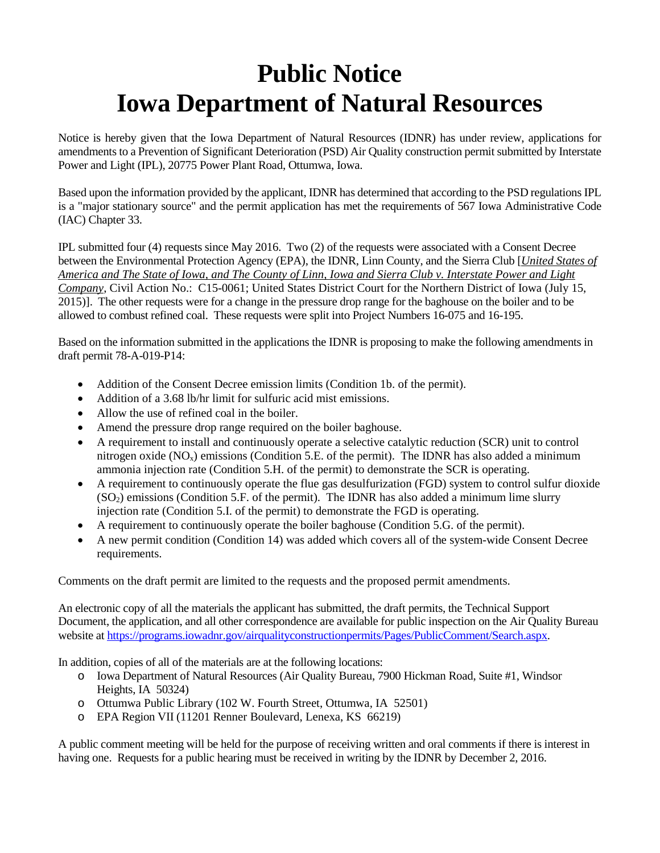## **Public Notice Iowa Department of Natural Resources**

Notice is hereby given that the Iowa Department of Natural Resources (IDNR) has under review, applications for amendments to a Prevention of Significant Deterioration (PSD) Air Quality construction permit submitted by Interstate Power and Light (IPL), 20775 Power Plant Road, Ottumwa, Iowa.

Based upon the information provided by the applicant, IDNR has determined that according to the PSD regulations IPL is a "major stationary source" and the permit application has met the requirements of 567 Iowa Administrative Code (IAC) Chapter 33.

IPL submitted four (4) requests since May 2016. Two (2) of the requests were associated with a Consent Decree between the Environmental Protection Agency (EPA), the IDNR, Linn County, and the Sierra Club [*United States of America and The State of Iowa, and The County of Linn, Iowa and Sierra Club v. Interstate Power and Light Company*, Civil Action No.: C15-0061; United States District Court for the Northern District of Iowa (July 15, 2015)]. The other requests were for a change in the pressure drop range for the baghouse on the boiler and to be allowed to combust refined coal. These requests were split into Project Numbers 16-075 and 16-195.

Based on the information submitted in the applications the IDNR is proposing to make the following amendments in draft permit 78-A-019-P14:

- Addition of the Consent Decree emission limits (Condition 1b. of the permit).
- Addition of a 3.68 lb/hr limit for sulfuric acid mist emissions.
- Allow the use of refined coal in the boiler.
- Amend the pressure drop range required on the boiler baghouse.
- A requirement to install and continuously operate a selective catalytic reduction (SCR) unit to control nitrogen oxide  $(NO_x)$  emissions (Condition 5.E. of the permit). The IDNR has also added a minimum ammonia injection rate (Condition 5.H. of the permit) to demonstrate the SCR is operating.
- A requirement to continuously operate the flue gas desulfurization (FGD) system to control sulfur dioxide  $(SO<sub>2</sub>)$  emissions (Condition 5.F. of the permit). The IDNR has also added a minimum lime slurry injection rate (Condition 5.I. of the permit) to demonstrate the FGD is operating.
- A requirement to continuously operate the boiler baghouse (Condition 5.G. of the permit).
- A new permit condition (Condition 14) was added which covers all of the system-wide Consent Decree requirements.

Comments on the draft permit are limited to the requests and the proposed permit amendments.

An electronic copy of all the materials the applicant has submitted, the draft permits, the Technical Support Document, the application, and all other correspondence are available for public inspection on the Air Quality Bureau website a[t https://programs.iowadnr.gov/airqualityconstructionpermits/Pages/PublicComment/Search.aspx.](https://programs.iowadnr.gov/airqualityconstructionpermits/Pages/PublicComment/Search.aspx)

In addition, copies of all of the materials are at the following locations:

- o Iowa Department of Natural Resources (Air Quality Bureau, 7900 Hickman Road, Suite #1, Windsor Heights, IA 50324)
- o Ottumwa Public Library (102 W. Fourth Street, Ottumwa, IA 52501)
- o EPA Region VII (11201 Renner Boulevard, Lenexa, KS 66219)

A public comment meeting will be held for the purpose of receiving written and oral comments if there is interest in having one. Requests for a public hearing must be received in writing by the IDNR by December 2, 2016.